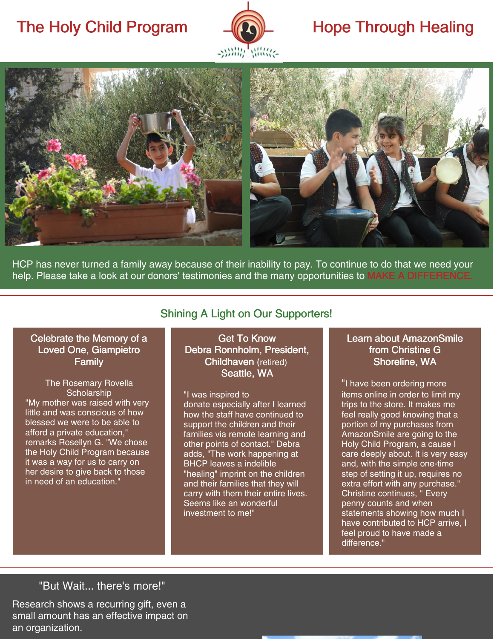# The Holy Child Program  $\Box(\Box)$  Hope Through Healing





HCP has never turned a family away because of their inability to pay. To continue to do that we need your help. Please take a look at our donors' testimonies and the many opportunities to MAKE A [DIFFERENCE](https://holychildbethlehem.org/support/).

## Celebrate the Memory of a Loved One, Giampietro Family

The Rosemary Rovella **Scholarship** "My mother was raised with very little and was conscious of how blessed we were to be able to afford a private education," remarks Rosellyn G. "We chose the Holy Child Program because it was a way for us to carry on her desire to give back to those in need of an education."

# Shining A Light on Our Supporters!

Get To Know Debra Ronnholm, President, Childhaven (retired) Seattle, WA

"I was inspired to donate especially after I learned how the staff have continued to support the children and their families via remote learning and other points of contact." Debra adds, "The work happening at BHCP leaves a indelible "healing" imprint on the children and their families that they will carry with them their entire lives. Seems like an wonderful investment to me!"

## Learn about AmazonSmile from Christine G Shoreline, WA

"I have been ordering more items online in order to limit my trips to the store. It makes me feel really good knowing that a portion of my purchases from AmazonSmile are going to the Holy Child Program, a cause I care deeply about. It is very easy and, with the simple one-time step of setting it up, requires no extra effort with any purchase." Christine continues, " Every penny counts and when statements showing how much I have contributed to HCP arrive, I feel proud to have made a difference."

# "But Wait... there's more!"

Research shows a recurring gift, even a small amount has an effective impact on an organization.